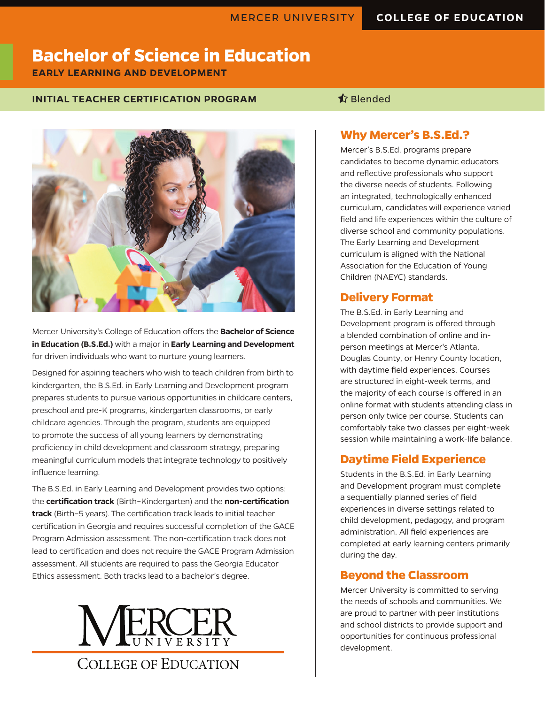# **Bachelor of Science in Education**

**EARLY LEARNING AND DEVELOPMENT**

## **INITIAL TEACHER CERTIFICATION PROGRAM SEE ALSO ASSESSED A** Blended



Mercer University's College of Education offers the **Bachelor of Science in Education (B.S.Ed.)** with a major in **Early Learning and Development** for driven individuals who want to nurture young learners.

Designed for aspiring teachers who wish to teach children from birth to kindergarten, the B.S.Ed. in Early Learning and Development program prepares students to pursue various opportunities in childcare centers, preschool and pre-K programs, kindergarten classrooms, or early childcare agencies. Through the program, students are equipped to promote the success of all young learners by demonstrating proficiency in child development and classroom strategy, preparing meaningful curriculum models that integrate technology to positively influence learning.

The B.S.Ed. in Early Learning and Development provides two options: the **certification track** (Birth–Kindergarten) and the **non-certification track** (Birth–5 years). The certification track leads to initial teacher certification in Georgia and requires successful completion of the GACE Program Admission assessment. The non-certification track does not lead to certification and does not require the GACE Program Admission assessment. All students are required to pass the Georgia Educator Ethics assessment. Both tracks lead to a bachelor's degree.



## **Why Mercer's B.S.Ed.?**

Mercer's B.S.Ed. programs prepare candidates to become dynamic educators and reflective professionals who support the diverse needs of students. Following an integrated, technologically enhanced curriculum, candidates will experience varied field and life experiences within the culture of diverse school and community populations. The Early Learning and Development curriculum is aligned with the National Association for the Education of Young Children (NAEYC) standards.

## **Delivery Format**

The B.S.Ed. in Early Learning and Development program is offered through a blended combination of online and inperson meetings at Mercer's Atlanta, Douglas County, or Henry County location, with daytime field experiences. Courses are structured in eight-week terms, and the majority of each course is offered in an online format with students attending class in person only twice per course. Students can comfortably take two classes per eight-week session while maintaining a work-life balance.

## **Daytime Field Experience**

Students in the B.S.Ed. in Early Learning and Development program must complete a sequentially planned series of field experiences in diverse settings related to child development, pedagogy, and program administration. All field experiences are completed at early learning centers primarily during the day.

## **Beyond the Classroom**

Mercer University is committed to serving the needs of schools and communities. We are proud to partner with peer institutions and school districts to provide support and opportunities for continuous professional development.